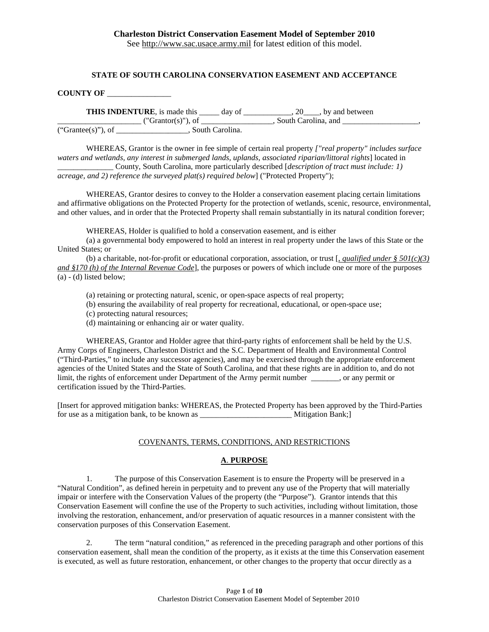#### **STATE OF SOUTH CAROLINA CONSERVATION EASEMENT AND ACCEPTANCE**

**COUNTY OF** \_\_\_\_\_\_\_\_\_\_\_\_\_\_\_\_

**THIS INDENTURE**, is made this \_\_\_\_\_\_ day of \_\_\_\_\_\_\_\_\_\_\_\_, 20\_\_\_\_, by and between \_\_\_\_\_\_\_\_\_\_\_\_\_\_\_\_\_\_\_\_\_ ("Grantor(s)"), of \_\_\_\_\_\_\_\_\_\_\_\_\_\_\_\_\_\_, South Carolina, and \_\_\_\_\_\_\_\_\_\_\_\_\_\_\_\_\_\_\_,  $\overline{(\text{``Grantee(s)''), of}}$   $\overline{\phantom{(\text{``Grantee(s)''),}}$   $\phantom{(\text{``Grantee(s)''),}}$   $\phantom{(\text{``Grantee(s)''),}}$   $\phantom{(\text{``Grantee(s)''),}}$ 

WHEREAS, Grantor is the owner in fee simple of certain real property *["real property" includes surface waters and wetlands, any interest in submerged lands, uplands, associated riparian/littoral rights*] located in \_\_\_\_\_\_\_\_\_\_\_\_\_\_ County, South Carolina, more particularly described [*description of tract must include: 1) acreage, and 2) reference the surveyed plat(s) required below*] ("Protected Property");

WHEREAS, Grantor desires to convey to the Holder a conservation easement placing certain limitations and affirmative obligations on the Protected Property for the protection of wetlands, scenic, resource, environmental, and other values, and in order that the Protected Property shall remain substantially in its natural condition forever;

WHEREAS, Holder is qualified to hold a conservation easement, and is either

(a) a governmental body empowered to hold an interest in real property under the laws of this State or the United States; or

(b) a charitable, not-for-profit or educational corporation, association, or trust [*, qualified under § 501(c)(3) and §170 (h) of the Internal Revenue Code*], the purposes or powers of which include one or more of the purposes (a) - (d) listed below;

- (a) retaining or protecting natural, scenic, or open-space aspects of real property;
- (b) ensuring the availability of real property for recreational, educational, or open-space use;
- (c) protecting natural resources;
- (d) maintaining or enhancing air or water quality.

WHEREAS, Grantor and Holder agree that third-party rights of enforcement shall be held by the U.S. Army Corps of Engineers, Charleston District and the S.C. Department of Health and Environmental Control ("Third-Parties," to include any successor agencies), and may be exercised through the appropriate enforcement agencies of the United States and the State of South Carolina, and that these rights are in addition to, and do not limit, the rights of enforcement under Department of the Army permit number \_\_\_\_\_\_\_, or any permit or certification issued by the Third-Parties.

[Insert for approved mitigation banks: WHEREAS, the Protected Property has been approved by the Third-Parties for use as a mitigation bank, to be known as \_\_\_\_\_\_\_\_\_\_\_\_\_\_\_\_\_\_\_\_\_\_\_ Mitigation Bank;]

#### COVENANTS, TERMS, CONDITIONS, AND RESTRICTIONS

#### **A**. **PURPOSE**

1. The purpose of this Conservation Easement is to ensure the Property will be preserved in a "Natural Condition", as defined herein in perpetuity and to prevent any use of the Property that will materially impair or interfere with the Conservation Values of the property (the "Purpose"). Grantor intends that this Conservation Easement will confine the use of the Property to such activities, including without limitation, those involving the restoration, enhancement, and/or preservation of aquatic resources in a manner consistent with the conservation purposes of this Conservation Easement.

2. The term "natural condition," as referenced in the preceding paragraph and other portions of this conservation easement, shall mean the condition of the property, as it exists at the time this Conservation easement is executed, as well as future restoration, enhancement, or other changes to the property that occur directly as a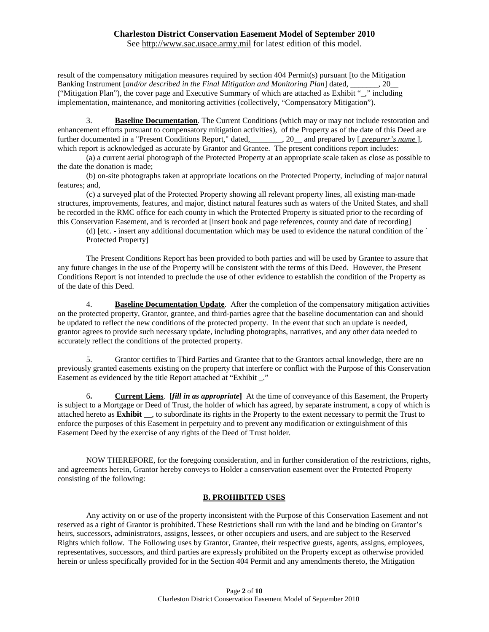See [http://www.sac.usace.army.mil](http://www.sac.usace.army.mil/) for latest edition of this model.

result of the compensatory mitigation measures required by section 404 Permit(s) pursuant [to the Mitigation Banking Instrument [*and/or described in the Final Mitigation and Monitoring Plan*] dated, \_\_\_\_\_\_\_, 20\_\_ ("Mitigation Plan"), the cover page and Executive Summary of which are attached as Exhibit "\_," including implementation, maintenance, and monitoring activities (collectively, "Compensatory Mitigation").

3. **Baseline Documentation**. The Current Conditions (which may or may not include restoration and enhancement efforts pursuant to compensatory mitigation activities), of the Property as of the date of this Deed are further documented in a "Present Conditions Report," dated,\_\_\_\_\_\_\_\_, 20\_\_ and prepared by [ *preparer's name* ]*,* which report is acknowledged as accurate by Grantor and Grantee. The present conditions report includes:

(a) a current aerial photograph of the Protected Property at an appropriate scale taken as close as possible to the date the donation is made;

(b) on-site photographs taken at appropriate locations on the Protected Property, including of major natural features; and,

(c) a surveyed plat of the Protected Property showing all relevant property lines, all existing man-made structures, improvements, features, and major, distinct natural features such as waters of the United States, and shall be recorded in the RMC office for each county in which the Protected Property is situated prior to the recording of this Conservation Easement, and is recorded at [insert book and page references, county and date of recording]

(d) [etc. - insert any additional documentation which may be used to evidence the natural condition of the ` Protected Property]

The Present Conditions Report has been provided to both parties and will be used by Grantee to assure that any future changes in the use of the Property will be consistent with the terms of this Deed. However, the Present Conditions Report is not intended to preclude the use of other evidence to establish the condition of the Property as of the date of this Deed.

4. **Baseline Documentation Update**. After the completion of the compensatory mitigation activities on the protected property, Grantor, grantee, and third-parties agree that the baseline documentation can and should be updated to reflect the new conditions of the protected property. In the event that such an update is needed, grantor agrees to provide such necessary update, including photographs, narratives, and any other data needed to accurately reflect the conditions of the protected property.

5. Grantor certifies to Third Parties and Grantee that to the Grantors actual knowledge, there are no previously granted easements existing on the property that interfere or conflict with the Purpose of this Conservation Easement as evidenced by the title Report attached at "Exhibit \_."

6**. Current Liens**. **[***fill in as appropriate***]** At the time of conveyance of this Easement, the Property is subject to a Mortgage or Deed of Trust, the holder of which has agreed, by separate instrument, a copy of which is attached hereto as **Exhibit \_\_**, to subordinate its rights in the Property to the extent necessary to permit the Trust to enforce the purposes of this Easement in perpetuity and to prevent any modification or extinguishment of this Easement Deed by the exercise of any rights of the Deed of Trust holder.

NOW THEREFORE, for the foregoing consideration, and in further consideration of the restrictions, rights, and agreements herein, Grantor hereby conveys to Holder a conservation easement over the Protected Property consisting of the following:

### **B. PROHIBITED USES**

Any activity on or use of the property inconsistent with the Purpose of this Conservation Easement and not reserved as a right of Grantor is prohibited. These Restrictions shall run with the land and be binding on Grantor's heirs, successors, administrators, assigns, lessees, or other occupiers and users, and are subject to the Reserved Rights which follow. The Following uses by Grantor, Grantee, their respective guests, agents, assigns, employees, representatives, successors, and third parties are expressly prohibited on the Property except as otherwise provided herein or unless specifically provided for in the Section 404 Permit and any amendments thereto, the Mitigation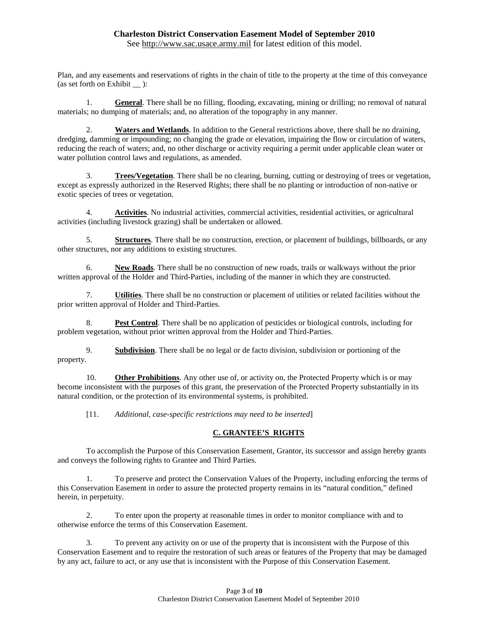See [http://www.sac.usace.army.mil](http://www.sac.usace.army.mil/) for latest edition of this model.

Plan, and any easements and reservations of rights in the chain of title to the property at the time of this conveyance (as set forth on Exhibit ):

1. **General**. There shall be no filling, flooding, excavating, mining or drilling; no removal of natural materials; no dumping of materials; and, no alteration of the topography in any manner.

2. **Waters and Wetlands**. In addition to the General restrictions above, there shall be no draining, dredging, damming or impounding; no changing the grade or elevation, impairing the flow or circulation of waters, reducing the reach of waters; and, no other discharge or activity requiring a permit under applicable clean water or water pollution control laws and regulations, as amended.

3. **Trees/Vegetation**. There shall be no clearing, burning, cutting or destroying of trees or vegetation, except as expressly authorized in the Reserved Rights; there shall be no planting or introduction of non-native or exotic species of trees or vegetation.

4. **Activities**. No industrial activities, commercial activities, residential activities, or agricultural activities (including livestock grazing) shall be undertaken or allowed.

5. **Structures**. There shall be no construction, erection, or placement of buildings, billboards, or any other structures, nor any additions to existing structures.

6. **New Roads**. There shall be no construction of new roads, trails or walkways without the prior written approval of the Holder and Third-Parties, including of the manner in which they are constructed.

7. **Utilities**. There shall be no construction or placement of utilities or related facilities without the prior written approval of Holder and Third-Parties.

8. **Pest Control**. There shall be no application of pesticides or biological controls, including for problem vegetation, without prior written approval from the Holder and Third-Parties.

9. **Subdivision**. There shall be no legal or de facto division, subdivision or portioning of the property.

10. **Other Prohibitions**. Any other use of, or activity on, the Protected Property which is or may become inconsistent with the purposes of this grant, the preservation of the Protected Property substantially in its natural condition, or the protection of its environmental systems, is prohibited.

[11. *Additional, case-specific restrictions may need to be inserted*]

### **C. GRANTEE'S RIGHTS**

To accomplish the Purpose of this Conservation Easement, Grantor, its successor and assign hereby grants and conveys the following rights to Grantee and Third Parties.

1. To preserve and protect the Conservation Values of the Property, including enforcing the terms of this Conservation Easement in order to assure the protected property remains in its "natural condition," defined herein, in perpetuity.

2. To enter upon the property at reasonable times in order to monitor compliance with and to otherwise enforce the terms of this Conservation Easement.

3. To prevent any activity on or use of the property that is inconsistent with the Purpose of this Conservation Easement and to require the restoration of such areas or features of the Property that may be damaged by any act, failure to act, or any use that is inconsistent with the Purpose of this Conservation Easement.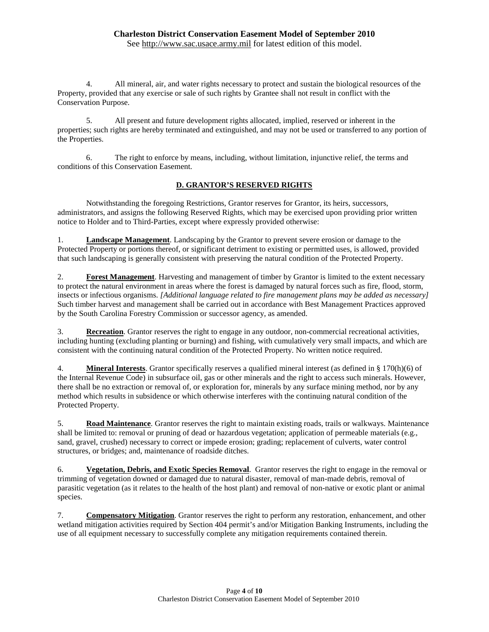See [http://www.sac.usace.army.mil](http://www.sac.usace.army.mil/) for latest edition of this model.

4. All mineral, air, and water rights necessary to protect and sustain the biological resources of the Property, provided that any exercise or sale of such rights by Grantee shall not result in conflict with the Conservation Purpose.

5. All present and future development rights allocated, implied, reserved or inherent in the properties; such rights are hereby terminated and extinguished, and may not be used or transferred to any portion of the Properties.

6. The right to enforce by means, including, without limitation, injunctive relief, the terms and conditions of this Conservation Easement.

### **D. GRANTOR'S RESERVED RIGHTS**

Notwithstanding the foregoing Restrictions, Grantor reserves for Grantor, its heirs, successors, administrators, and assigns the following Reserved Rights, which may be exercised upon providing prior written notice to Holder and to Third-Parties, except where expressly provided otherwise:

1. **Landscape Management**. Landscaping by the Grantor to prevent severe erosion or damage to the Protected Property or portions thereof, or significant detriment to existing or permitted uses, is allowed, provided that such landscaping is generally consistent with preserving the natural condition of the Protected Property.

2. **Forest Management**. Harvesting and management of timber by Grantor is limited to the extent necessary to protect the natural environment in areas where the forest is damaged by natural forces such as fire, flood, storm, insects or infectious organisms. *[Additional language related to fire management plans may be added as necessary]* Such timber harvest and management shall be carried out in accordance with Best Management Practices approved by the South Carolina Forestry Commission or successor agency, as amended.

3. **Recreation**. Grantor reserves the right to engage in any outdoor, non-commercial recreational activities, including hunting (excluding planting or burning) and fishing, with cumulatively very small impacts, and which are consistent with the continuing natural condition of the Protected Property. No written notice required.

4. **Mineral Interests**. Grantor specifically reserves a qualified mineral interest (as defined in § 170(h)(6) of the Internal Revenue Code) in subsurface oil, gas or other minerals and the right to access such minerals. However, there shall be no extraction or removal of, or exploration for, minerals by any surface mining method, nor by any method which results in subsidence or which otherwise interferes with the continuing natural condition of the Protected Property.

5. **Road Maintenance**. Grantor reserves the right to maintain existing roads, trails or walkways. Maintenance shall be limited to: removal or pruning of dead or hazardous vegetation; application of permeable materials (e.g., sand, gravel, crushed) necessary to correct or impede erosion; grading; replacement of culverts, water control structures, or bridges; and, maintenance of roadside ditches.

6. **Vegetation, Debris, and Exotic Species Removal**. Grantor reserves the right to engage in the removal or trimming of vegetation downed or damaged due to natural disaster, removal of man-made debris, removal of parasitic vegetation (as it relates to the health of the host plant) and removal of non-native or exotic plant or animal species.

7. **Compensatory Mitigation**. Grantor reserves the right to perform any restoration, enhancement, and other wetland mitigation activities required by Section 404 permit's and/or Mitigation Banking Instruments, including the use of all equipment necessary to successfully complete any mitigation requirements contained therein.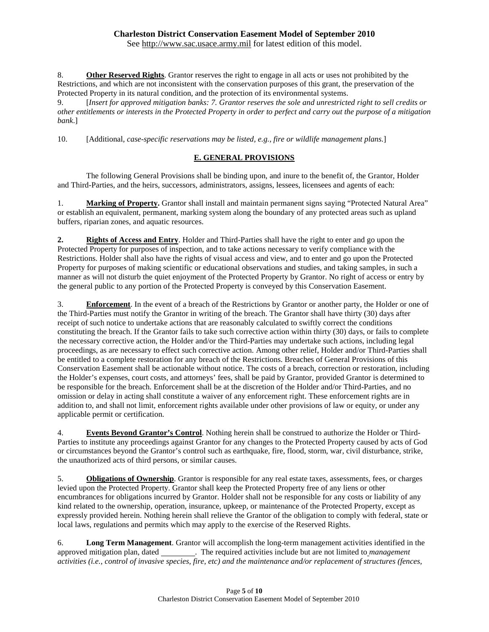See [http://www.sac.usace.army.mil](http://www.sac.usace.army.mil/) for latest edition of this model.

8. **Other Reserved Rights**. Grantor reserves the right to engage in all acts or uses not prohibited by the Restrictions, and which are not inconsistent with the conservation purposes of this grant, the preservation of the Protected Property in its natural condition, and the protection of its environmental systems.

9. [*Insert for approved mitigation banks: 7. Grantor reserves the sole and unrestricted right to sell credits or other entitlements or interests in the Protected Property in order to perfect and carry out the purpose of a mitigation bank*.]

10. [Additional*, case-specific reservations may be listed, e.g., fire or wildlife management plans*.]

# **E. GENERAL PROVISIONS**

The following General Provisions shall be binding upon, and inure to the benefit of, the Grantor, Holder and Third-Parties, and the heirs, successors, administrators, assigns, lessees, licensees and agents of each:

1. **Marking of Property.** Grantor shall install and maintain permanent signs saying "Protected Natural Area" or establish an equivalent, permanent, marking system along the boundary of any protected areas such as upland buffers, riparian zones, and aquatic resources.

**2. Rights of Access and Entry**. Holder and Third-Parties shall have the right to enter and go upon the Protected Property for purposes of inspection, and to take actions necessary to verify compliance with the Restrictions. Holder shall also have the rights of visual access and view, and to enter and go upon the Protected Property for purposes of making scientific or educational observations and studies, and taking samples, in such a manner as will not disturb the quiet enjoyment of the Protected Property by Grantor. No right of access or entry by the general public to any portion of the Protected Property is conveyed by this Conservation Easement.

3. **Enforcement**. In the event of a breach of the Restrictions by Grantor or another party, the Holder or one of the Third-Parties must notify the Grantor in writing of the breach. The Grantor shall have thirty (30) days after receipt of such notice to undertake actions that are reasonably calculated to swiftly correct the conditions constituting the breach. If the Grantor fails to take such corrective action within thirty (30) days, or fails to complete the necessary corrective action, the Holder and/or the Third-Parties may undertake such actions, including legal proceedings, as are necessary to effect such corrective action. Among other relief, Holder and/or Third-Parties shall be entitled to a complete restoration for any breach of the Restrictions. Breaches of General Provisions of this Conservation Easement shall be actionable without notice. The costs of a breach, correction or restoration, including the Holder's expenses, court costs, and attorneys' fees, shall be paid by Grantor, provided Grantor is determined to be responsible for the breach. Enforcement shall be at the discretion of the Holder and/or Third-Parties, and no omission or delay in acting shall constitute a waiver of any enforcement right. These enforcement rights are in addition to, and shall not limit, enforcement rights available under other provisions of law or equity, or under any applicable permit or certification.

4. **Events Beyond Grantor's Control**. Nothing herein shall be construed to authorize the Holder or Third-Parties to institute any proceedings against Grantor for any changes to the Protected Property caused by acts of God or circumstances beyond the Grantor's control such as earthquake, fire, flood, storm, war, civil disturbance, strike, the unauthorized acts of third persons, or similar causes.

5. **Obligations of Ownership**. Grantor is responsible for any real estate taxes, assessments, fees, or charges levied upon the Protected Property. Grantor shall keep the Protected Property free of any liens or other encumbrances for obligations incurred by Grantor. Holder shall not be responsible for any costs or liability of any kind related to the ownership, operation, insurance, upkeep, or maintenance of the Protected Property, except as expressly provided herein. Nothing herein shall relieve the Grantor of the obligation to comply with federal, state or local laws, regulations and permits which may apply to the exercise of the Reserved Rights.

6. **Long Term Management**. Grantor will accomplish the long-term management activities identified in the approved mitigation plan, dated \_\_\_\_\_\_\_\_\_. The required activities include but are not limited to *management activities (i.e., control of invasive species, fire, etc) and the maintenance and/or replacement of structures (fences,*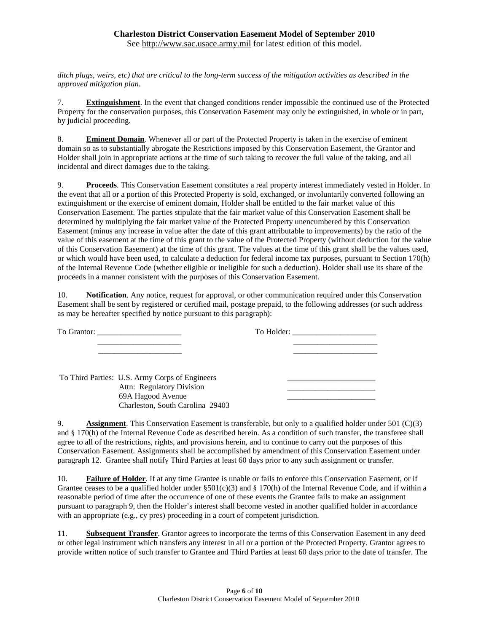### **Charleston District Conservation Easement Model of September 2010** See [http://www.sac.usace.army.mil](http://www.sac.usace.army.mil/) for latest edition of this model.

*ditch plugs, weirs, etc) that are critical to the long-term success of the mitigation activities as described in the approved mitigation plan.*

7. **Extinguishment**. In the event that changed conditions render impossible the continued use of the Protected Property for the conservation purposes, this Conservation Easement may only be extinguished, in whole or in part, by judicial proceeding.

8. **Eminent Domain**. Whenever all or part of the Protected Property is taken in the exercise of eminent domain so as to substantially abrogate the Restrictions imposed by this Conservation Easement, the Grantor and Holder shall join in appropriate actions at the time of such taking to recover the full value of the taking, and all incidental and direct damages due to the taking.

9. **Proceeds**. This Conservation Easement constitutes a real property interest immediately vested in Holder. In the event that all or a portion of this Protected Property is sold, exchanged, or involuntarily converted following an extinguishment or the exercise of eminent domain, Holder shall be entitled to the fair market value of this Conservation Easement. The parties stipulate that the fair market value of this Conservation Easement shall be determined by multiplying the fair market value of the Protected Property unencumbered by this Conservation Easement (minus any increase in value after the date of this grant attributable to improvements) by the ratio of the value of this easement at the time of this grant to the value of the Protected Property (without deduction for the value of this Conservation Easement) at the time of this grant. The values at the time of this grant shall be the values used, or which would have been used, to calculate a deduction for federal income tax purposes, pursuant to Section 170(h) of the Internal Revenue Code (whether eligible or ineligible for such a deduction). Holder shall use its share of the proceeds in a manner consistent with the purposes of this Conservation Easement.

10. **Notification**. Any notice, request for approval, or other communication required under this Conservation Easement shall be sent by registered or certified mail, postage prepaid, to the following addresses (or such address as may be hereafter specified by notice pursuant to this paragraph):

| To Grantor: |                                                                                                                                      | To Holder: |
|-------------|--------------------------------------------------------------------------------------------------------------------------------------|------------|
|             |                                                                                                                                      |            |
|             |                                                                                                                                      |            |
|             | To Third Parties: U.S. Army Corps of Engineers<br>Attn: Regulatory Division<br>69A Hagood Avenue<br>Charleston, South Carolina 29403 |            |

9. **Assignment**. This Conservation Easement is transferable, but only to a qualified holder under 501 (C)(3) and § 170(h) of the Internal Revenue Code as described herein. As a condition of such transfer, the transferee shall agree to all of the restrictions, rights, and provisions herein, and to continue to carry out the purposes of this Conservation Easement. Assignments shall be accomplished by amendment of this Conservation Easement under paragraph 12. Grantee shall notify Third Parties at least 60 days prior to any such assignment or transfer.

10. **Failure of Holder**. If at any time Grantee is unable or fails to enforce this Conservation Easement, or if Grantee ceases to be a qualified holder under  $\S 501(c)(3)$  and  $\S 170(h)$  of the Internal Revenue Code, and if within a reasonable period of time after the occurrence of one of these events the Grantee fails to make an assignment pursuant to paragraph 9, then the Holder's interest shall become vested in another qualified holder in accordance with an appropriate (e.g., cy pres) proceeding in a court of competent jurisdiction.

11. **Subsequent Transfer**. Grantor agrees to incorporate the terms of this Conservation Easement in any deed or other legal instrument which transfers any interest in all or a portion of the Protected Property. Grantor agrees to provide written notice of such transfer to Grantee and Third Parties at least 60 days prior to the date of transfer. The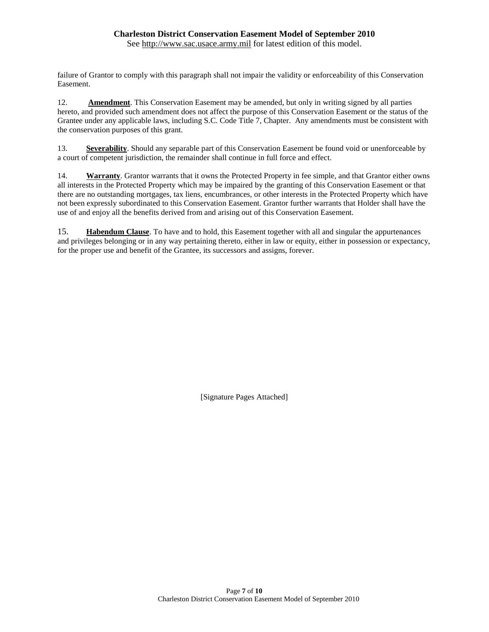See [http://www.sac.usace.army.mil](http://www.sac.usace.army.mil/) for latest edition of this model.

failure of Grantor to comply with this paragraph shall not impair the validity or enforceability of this Conservation Easement.

12. **Amendment**. This Conservation Easement may be amended, but only in writing signed by all parties hereto, and provided such amendment does not affect the purpose of this Conservation Easement or the status of the Grantee under any applicable laws, including S.C. Code Title 7, Chapter. Any amendments must be consistent with the conservation purposes of this grant.

13. **Severability**. Should any separable part of this Conservation Easement be found void or unenforceable by a court of competent jurisdiction, the remainder shall continue in full force and effect.

14. **Warranty**. Grantor warrants that it owns the Protected Property in fee simple, and that Grantor either owns all interests in the Protected Property which may be impaired by the granting of this Conservation Easement or that there are no outstanding mortgages, tax liens, encumbrances, or other interests in the Protected Property which have not been expressly subordinated to this Conservation Easement. Grantor further warrants that Holder shall have the use of and enjoy all the benefits derived from and arising out of this Conservation Easement.

15. **Habendum Clause**. To have and to hold, this Easement together with all and singular the appurtenances and privileges belonging or in any way pertaining thereto, either in law or equity, either in possession or expectancy, for the proper use and benefit of the Grantee, its successors and assigns, forever.

[Signature Pages Attached]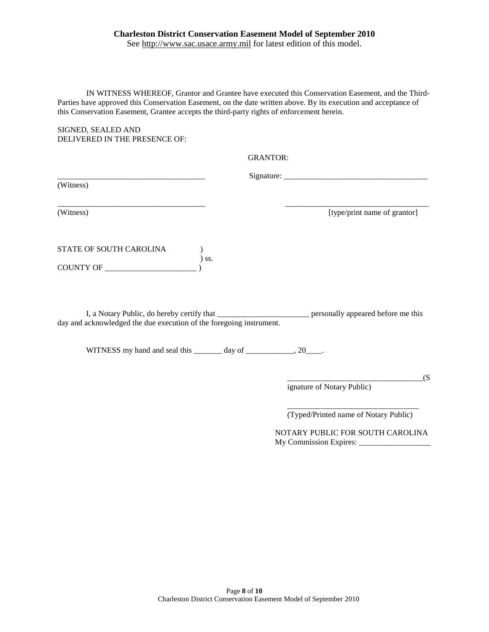See [http://www.sac.usace.army.mil](http://www.sac.usace.army.mil/) for latest edition of this model.

IN WITNESS WHEREOF, Grantor and Grantee have executed this Conservation Easement, and the Third-Parties have approved this Conservation Easement, on the date written above. By its execution and acceptance of this Conservation Easement, Grantee accepts the third-party rights of enforcement herein.

SIGNED, SEALED AND DELIVERED IN THE PRESENCE OF:

GRANTOR:

(Witness)

 $Sigma_{\text{square}}$   $\blacksquare$ 

\_\_\_\_\_\_\_\_\_\_\_\_\_\_\_\_\_\_\_\_\_\_\_\_\_\_\_\_\_\_\_\_\_\_\_\_\_ \_\_\_\_\_\_\_\_\_\_\_\_\_\_\_\_\_\_\_\_\_\_\_\_\_\_\_\_\_\_\_\_\_\_\_\_

(Witness) [type/print name of grantor]

STATE OF SOUTH CAROLINA ) ) ss. COUNTY OF \_\_\_\_\_\_\_\_\_\_\_\_\_\_\_\_\_\_\_\_\_\_\_ )

I, a Notary Public, do hereby certify that \_\_\_\_\_\_\_\_\_\_\_\_\_\_\_\_\_\_\_\_\_\_\_ personally appeared before me this day and acknowledged the due execution of the foregoing instrument.

WITNESS my hand and seal this \_\_\_\_\_\_\_ day of \_\_\_\_\_\_\_\_\_\_, 20\_\_\_\_.

 $\overline{\phantom{a}}(S$ ignature of Notary Public)

\_\_\_\_\_\_\_\_\_\_\_\_\_\_\_\_\_\_\_\_\_\_\_\_\_\_\_\_\_\_\_\_\_ (Typed/Printed name of Notary Public)

 NOTARY PUBLIC FOR SOUTH CAROLINA My Commission Expires: \_\_\_\_\_\_\_\_\_\_\_\_\_\_\_\_\_\_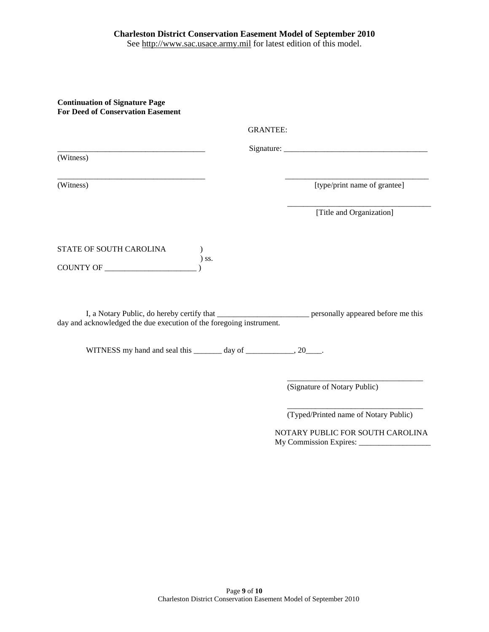### **Charleston District Conservation Easement Model of September 2010** See [http://www.sac.usace.army.mil](http://www.sac.usace.army.mil/) for latest edition of this model.

**Continuation of Signature Page For Deed of Conservation Easement** 

| <b>GRANTEE:</b>                                                                                        |                                                                                                                                                                                                                                                                                                                                                                                                             |
|--------------------------------------------------------------------------------------------------------|-------------------------------------------------------------------------------------------------------------------------------------------------------------------------------------------------------------------------------------------------------------------------------------------------------------------------------------------------------------------------------------------------------------|
|                                                                                                        | Signature: $\frac{1}{\sqrt{1-\frac{1}{2}}\sqrt{1-\frac{1}{2}}\sqrt{1-\frac{1}{2}}\sqrt{1-\frac{1}{2}}\sqrt{1-\frac{1}{2}}\sqrt{1-\frac{1}{2}}\sqrt{1-\frac{1}{2}}\sqrt{1-\frac{1}{2}}\sqrt{1-\frac{1}{2}}\sqrt{1-\frac{1}{2}}\sqrt{1-\frac{1}{2}}\sqrt{1-\frac{1}{2}}\sqrt{1-\frac{1}{2}}\sqrt{1-\frac{1}{2}}\sqrt{1-\frac{1}{2}}\sqrt{1-\frac{1}{2}}\sqrt{1-\frac{1}{2}}\sqrt{1-\frac{1}{2}}\sqrt{1-\frac$ |
| (Witness)                                                                                              |                                                                                                                                                                                                                                                                                                                                                                                                             |
|                                                                                                        |                                                                                                                                                                                                                                                                                                                                                                                                             |
| (Witness)                                                                                              | [type/print name of grantee]                                                                                                                                                                                                                                                                                                                                                                                |
|                                                                                                        |                                                                                                                                                                                                                                                                                                                                                                                                             |
|                                                                                                        | [Title and Organization]                                                                                                                                                                                                                                                                                                                                                                                    |
|                                                                                                        |                                                                                                                                                                                                                                                                                                                                                                                                             |
| STATE OF SOUTH CAROLINA                                                                                |                                                                                                                                                                                                                                                                                                                                                                                                             |
| $)$ ss.<br>COUNTY OF                                                                                   |                                                                                                                                                                                                                                                                                                                                                                                                             |
| I, a Notary Public, do hereby certify that ________________________ personally appeared before me this |                                                                                                                                                                                                                                                                                                                                                                                                             |
| day and acknowledged the due execution of the foregoing instrument.                                    |                                                                                                                                                                                                                                                                                                                                                                                                             |
| WITNESS my hand and seal this _______ day of ____________, 20____.                                     |                                                                                                                                                                                                                                                                                                                                                                                                             |
|                                                                                                        |                                                                                                                                                                                                                                                                                                                                                                                                             |
|                                                                                                        | (Signature of Notary Public)                                                                                                                                                                                                                                                                                                                                                                                |

\_\_\_\_\_\_\_\_\_\_\_\_\_\_\_\_\_\_\_\_\_\_\_\_\_\_\_\_\_\_\_\_\_\_ (Typed/Printed name of Notary Public)

 NOTARY PUBLIC FOR SOUTH CAROLINA My Commission Expires: \_\_\_\_\_\_\_\_\_\_\_\_\_\_\_\_\_\_